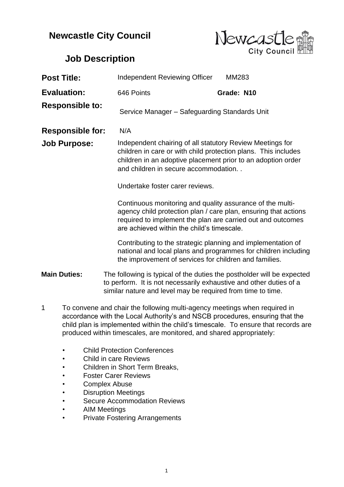## **Newcastle City Council**



## **Job Description**

| <b>Post Title:</b>      | Independent Reviewing Officer                               |                                                                                                                                                                                                                                     | <b>MM283</b>                                                                                                                                                                                |  |
|-------------------------|-------------------------------------------------------------|-------------------------------------------------------------------------------------------------------------------------------------------------------------------------------------------------------------------------------------|---------------------------------------------------------------------------------------------------------------------------------------------------------------------------------------------|--|
| <b>Evaluation:</b>      | 646 Points                                                  |                                                                                                                                                                                                                                     | Grade: N10                                                                                                                                                                                  |  |
| <b>Responsible to:</b>  | Service Manager - Safeguarding Standards Unit               |                                                                                                                                                                                                                                     |                                                                                                                                                                                             |  |
| <b>Responsible for:</b> | N/A                                                         |                                                                                                                                                                                                                                     |                                                                                                                                                                                             |  |
| <b>Job Purpose:</b>     |                                                             | Independent chairing of all statutory Review Meetings for<br>children in care or with child protection plans. This includes<br>children in an adoptive placement prior to an adoption order<br>and children in secure accommodation |                                                                                                                                                                                             |  |
|                         |                                                             | Undertake foster carer reviews.                                                                                                                                                                                                     |                                                                                                                                                                                             |  |
|                         | are achieved within the child's timescale.                  |                                                                                                                                                                                                                                     | Continuous monitoring and quality assurance of the multi-<br>agency child protection plan / care plan, ensuring that actions<br>required to implement the plan are carried out and outcomes |  |
|                         |                                                             |                                                                                                                                                                                                                                     | Contributing to the strategic planning and implementation of<br>national and local plans and programmes for children including<br>the improvement of services for children and families.    |  |
| <b>Main Duties:</b>     | similar nature and level may be required from time to time. |                                                                                                                                                                                                                                     | The following is typical of the duties the postholder will be expected<br>to perform. It is not necessarily exhaustive and other duties of a                                                |  |
| 1                       |                                                             |                                                                                                                                                                                                                                     | To convene and chair the following multi-agency meetings when required in                                                                                                                   |  |

- accordance with the Local Authority's and NSCB procedures, ensuring that the child plan is implemented within the child's timescale. To ensure that records are produced within timescales, are monitored, and shared appropriately:
	- Child Protection Conferences
	- Child in care Reviews
	- Children in Short Term Breaks,
	- Foster Carer Reviews
	- Complex Abuse
	- Disruption Meetings
	- Secure Accommodation Reviews
	- AIM Meetings
	- Private Fostering Arrangements